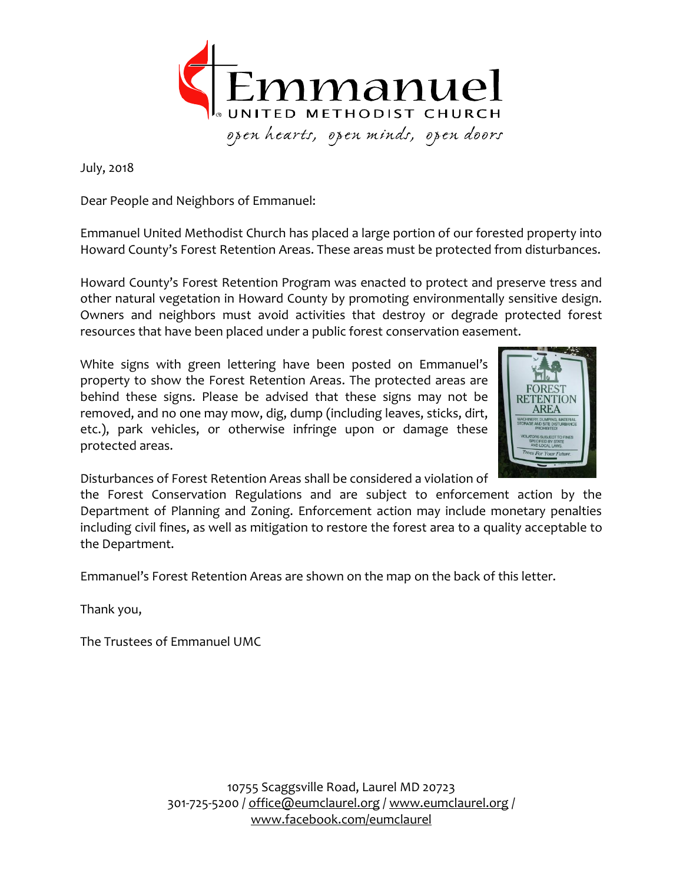

July, 2018

Dear People and Neighbors of Emmanuel:

Emmanuel United Methodist Church has placed a large portion of our forested property into Howard County's Forest Retention Areas. These areas must be protected from disturbances.

Howard County's Forest Retention Program was enacted to protect and preserve tress and other natural vegetation in Howard County by promoting environmentally sensitive design. Owners and neighbors must avoid activities that destroy or degrade protected forest resources that have been placed under a public forest conservation easement.

White signs with green lettering have been posted on Emmanuel's property to show the Forest Retention Areas. The protected areas are behind these signs. Please be advised that these signs may not be removed, and no one may mow, dig, dump (including leaves, sticks, dirt, etc.), park vehicles, or otherwise infringe upon or damage these protected areas.



Disturbances of Forest Retention Areas shall be considered a violation of

the Forest Conservation Regulations and are subject to enforcement action by the Department of Planning and Zoning. Enforcement action may include monetary penalties including civil fines, as well as mitigation to restore the forest area to a quality acceptable to the Department.

Emmanuel's Forest Retention Areas are shown on the map on the back of this letter.

Thank you,

The Trustees of Emmanuel UMC